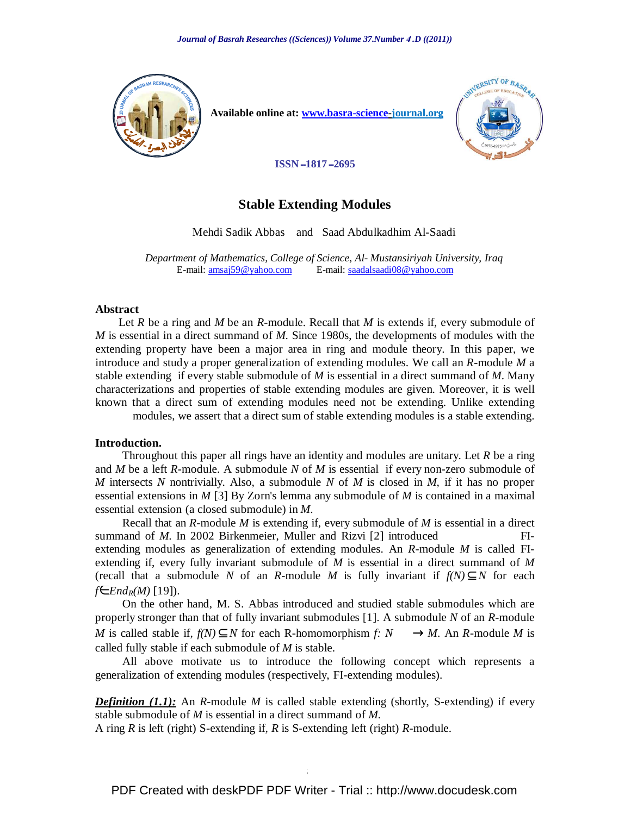

 **Available online at: www.basra-science-journal.org**



 **2695**ــ **1817**ــ **ISSN**

# **Stable Extending Modules**

Mehdi Sadik Abbas and Saad Abdulkadhim Al-Saadi

*Department of Mathematics, College of Science, Al- Mustansiriyah University, Iraq* E-mail: amsaj59@yahoo.com E-mail: saadalsaadi08@yahoo.com

#### **Abstract**

 Let *R* be a ring and *M* be an *R*-module. Recall that *M* is extends if, every submodule of *M* is essential in a direct summand of *M*. Since 1980s, the developments of modules with the extending property have been a major area in ring and module theory. In this paper, we introduce and study a proper generalization of extending modules. We call an *R*-module *M* a stable extending if every stable submodule of *M* is essential in a direct summand of *M*. Many characterizations and properties of stable extending modules are given. Moreover, it is well known that a direct sum of extending modules need not be extending. Unlike extending modules, we assert that a direct sum of stable extending modules is a stable extending.

#### **Introduction.**

 Throughout this paper all rings have an identity and modules are unitary. Let *R* be a ring and *M* be a left *R*-module. A submodule *N* of *M* is essential if every non-zero submodule of *M* intersects *N* nontrivially. Also, a submodule *N* of *M* is closed in *M*, if it has no proper essential extensions in *M* [3] By Zorn's lemma any submodule of *M* is contained in a maximal essential extension (a closed submodule) in *M*.

 Recall that an *R*-module *M* is extending if, every submodule of *M* is essential in a direct summand of *M*. In 2002 Birkenmeier, Muller and Rizvi [2] introduced extending modules as generalization of extending modules. An *R*-module *M* is called FIextending if, every fully invariant submodule of *M* is essential in a direct summand of *M* (recall that a submodule *N* of an *R*-module *M* is fully invariant if  $f(N) \subseteq N$  for each *f∈ End<sub>R</sub>* $(M)$  [19]).

 On the other hand, M. S. Abbas introduced and studied stable submodules which are properly stronger than that of fully invariant submodules [1]. A submodule *N* of an *R*-module *M* is called stable if,  $f(N) \subseteq N$  for each R-homomorphism *f: N* —  $\rightarrow$  *M*. An *R*-module *M* is called fully stable if each submodule of *M* is stable.

 All above motivate us to introduce the following concept which represents a generalization of extending modules (respectively, FI-extending modules).

*Definition (1.1):* An *R*-module *M* is called stable extending (shortly, S-extending) if every stable submodule of *M* is essential in a direct summand of *M*.

A ring *R* is left (right) S-extending if, *R* is S-extending left (right) *R*-module.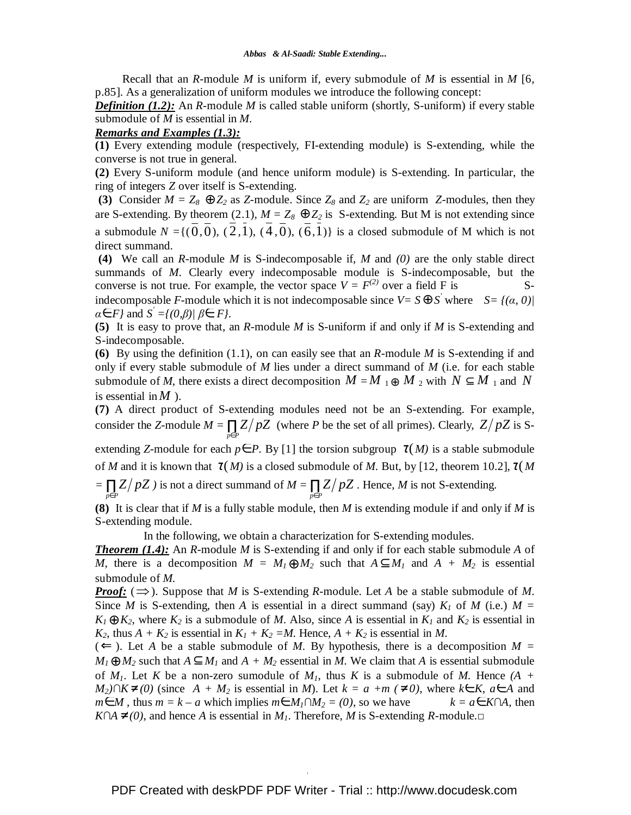Recall that an *R*-module *M* is uniform if, every submodule of *M* is essential in *M* [6, p.85]. As a generalization of uniform modules we introduce the following concept:

*Definition (1.2):* An *R*-module *M* is called stable uniform (shortly, S-uniform) if every stable submodule of *M* is essential in *M*.

### *Remarks and Examples (1.3):*

**(1)** Every extending module (respectively, FI-extending module) is S-extending, while the converse is not true in general.

**(2)** Every S-uniform module (and hence uniform module) is S-extending. In particular, the ring of integers *Z* over itself is S-extending.

**(3)** Consider  $M = Z_8 \oplus Z_2$  as *Z*-module. Since  $Z_8$  and  $Z_2$  are uniform *Z*-modules, then they are S-extending. By theorem (2.1),  $M = Z_8 \oplus Z_2$  is S-extending. But M is not extending since a submodule  $N = \{(\overline{0}, \overline{0}), (\overline{2}, \overline{1}), (\overline{4}, \overline{0}), (\overline{6}, \overline{1})\}$  is a closed submodule of M which is not direct summand.

 **(4)** We call an *R*-module *M* is S-indecomposable if, *M* and *(0)* are the only stable direct summands of *M*. Clearly every indecomposable module is S-indecomposable, but the converse is not true. For example, the vector space  $V = F^{(2)}$  over a field F is Sindecomposable *F*-module which it is not indecomposable since  $V = S \oplus S'$  where  $S = \{(\alpha, 0) | \alpha\}$  $\alpha \in F$ *}* and  $S' = \{(0, \beta) | \beta \in F\}$ .

**(5)** It is easy to prove that, an *R*-module *M* is S-uniform if and only if *M* is S-extending and S-indecomposable.

**(6)** By using the definition (1.1), on can easily see that an *R*-module *M* is S-extending if and only if every stable submodule of *M* lies under a direct summand of *M* (i.e. for each stable submodule of *M*, there exists a direct decomposition  $M = M_1 \oplus M_2$  with  $N \subseteq M_1$  and N is essential in  $M$  ).

**(7)** A direct product of S-extending modules need not be an S-extending. For example, consider the *Z*-module  $M = \prod_{p \in P} Z/pZ$  (where *P* be the set of all primes). Clearly,  $Z/pZ$  is S-

extending *Z*-module for each  $p \in P$ . By [1] the torsion subgroup  $\tau(M)$  is a stable submodule of *M* and it is known that  $\tau(M)$  is a closed submodule of *M*. But, by [12, theorem 10.2],  $\tau(M)$ 

 $=\prod_{p\in P} Z/pZ$  *j* is not a direct summand of  $M = \prod_{p\in P} Z/pZ$ . Hence, *M* is not S-extending.

**(8)** It is clear that if *M* is a fully stable module, then *M* is extending module if and only if *M* is S-extending module.

In the following, we obtain a characterization for S-extending modules.

*Theorem (1.4):* An *R*-module *M* is S-extending if and only if for each stable submodule *A* of *M*, there is a decomposition  $M = M_1 \oplus M_2$  such that  $A \subseteq M_1$  and  $A + M_2$  is essential submodule of *M*.

*Proof:* ( $\Rightarrow$ ). Suppose that *M* is *S*-extending *R*-module. Let *A* be a stable submodule of *M*. Since *M* is S-extending, then *A* is essential in a direct summand (say)  $K_I$  of *M* (i.e.)  $M =$  $K_1 \oplus K_2$ , where  $K_2$  is a submodule of *M*. Also, since *A* is essential in  $K_1$  and  $K_2$  is essential in *K*<sub>2</sub>, thus  $A + K_2$  is essential in  $K_1 + K_2 = M$ . Hence,  $A + K_2$  is essential in *M*.

 $(\Leftarrow)$ . Let *A* be a stable submodule of *M*. By hypothesis, there is a decomposition *M* =  $M_1 \oplus M_2$  such that  $A \subseteq M_1$  and  $A + M_2$  essential in *M*. We claim that *A* is essential submodule of  $M_1$ . Let K be a non-zero sumodule of  $M_1$ , thus K is a submodule of M. Hence  $(A +$ *M*<sub>2</sub> $)$ ∩*K*≠ *(0)* (since *A* + *M*<sub>2</sub> is essential in *M*). Let *k* = *a* +*m* (≠ *0*), where *k*∈ *K*, *a*∈ *A* and *m*∈*M*, thus *m* = *k* – *a* which implies *m*∈ *M*<sub>1</sub>∩*M*<sub>2</sub> = (0), so we have  $k = a \in K \cap A$ , then *K*∩*A* ≠ (0), and hence *A* is essential in *M*<sub>*I*</sub>. Therefore, *M* is S-extending *R*-module.□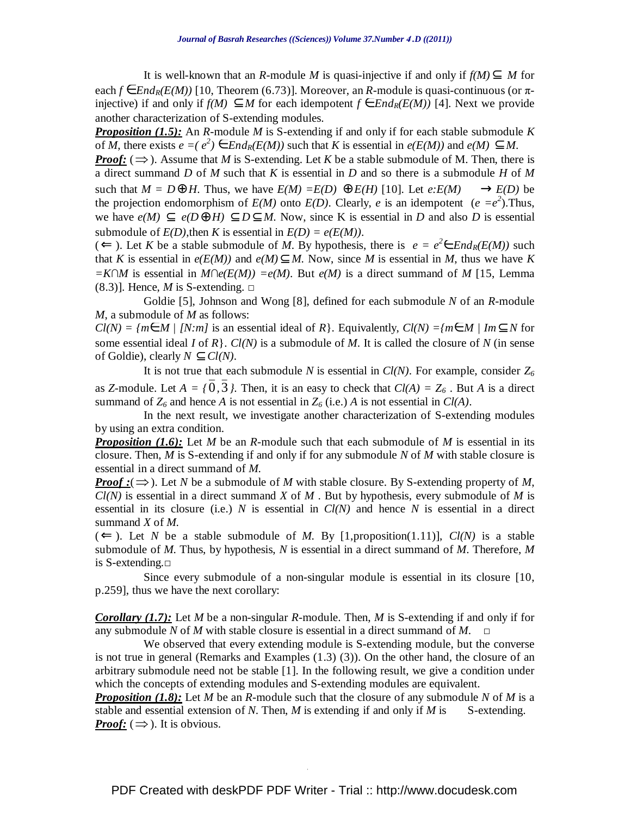It is well-known that an *R*-module *M* is quasi-injective if and only if  $f(M) \subseteq M$  for each  $f \in End_R(E(M))$  [10, Theorem (6.73)]. Moreover, an *R*-module is quasi-continuous (or  $\pi$ injective) if and only if *f(M)* ⊆ *M* for each idempotent *f* ∈*EndR(E(M))* [4]. Next we provide another characterization of S-extending modules.

*Proposition (1.5):* An *R*-module *M* is S-extending if and only if for each stable submodule *K* of *M*, there exists  $e = (e^2) \in End_R(E(M))$  such that *K* is essential in  $e(E(M))$  and  $e(M) \subseteq M$ .

*Proof:* ( $\Rightarrow$ ). Assume that *M* is S-extending. Let *K* be a stable submodule of M. Then, there is a direct summand *D* of *M* such that *K* is essential in *D* and so there is a submodule *H* of *M* such that  $M = D \oplus H$ . Thus, we have  $E(M) = E(D) \oplus E(H)$  [10]. Let  $e: E(M) \longrightarrow E(D)$  be the projection endomorphism of  $E(M)$  onto  $E(D)$ . Clearly, *e* is an idempotent ( $e = e^2$ ). Thus, we have  $e(M) \subset e(D\bigoplus H) \subset D \subset M$ . Now, since K is essential in *D* and also *D* is essential submodule of  $E(D)$ , then *K* is essential in  $E(D) = e(E(M))$ .

(←). Let *K* be a stable submodule of *M*. By hypothesis, there is  $e = e^2 \in End_R(E(M))$  such that *K* is essential in  $e(E(M))$  and  $e(M) \subset M$ . Now, since *M* is essential in *M*, thus we have *K*  $=K \cap M$  is essential in  $M \cap e(E(M)) = e(M)$ . But  $e(M)$  is a direct summand of M [15, Lemma (8.3)]. Hence, *M* is S-extending.  $\Box$ 

 Goldie [5], Johnson and Wong [8], defined for each submodule *N* of an *R*-module *M*, a submodule of *M* as follows:

 $Cl(N) = \{m \in M \mid [N:m] \text{ is an essential ideal of } R\}.$  Equivalently,  $Cl(N) = \{m \in M \mid Im \subseteq N \text{ for } n \in \mathbb{N}\}$ some essential ideal *I* of *R*}. *Cl(N)* is a submodule of *M*. It is called the closure of *N* (in sense of Goldie), clearly  $N \subseteq Cl(N)$ .

It is not true that each submodule *N* is essential in  $Cl(N)$ . For example, consider  $Z_6$ as *Z*-module. Let  $A = \{0, 3\}$ . Then, it is an easy to check that  $Cl(A) = Z_6$ . But *A* is a direct summand of  $Z_6$  and hence *A* is not essential in  $Z_6$  (i.e.) *A* is not essential in *Cl(A)*.

 In the next result, we investigate another characterization of S-extending modules by using an extra condition.

*Proposition (1.6):* Let *M* be an *R*-module such that each submodule of *M* is essential in its closure. Then, *M* is S-extending if and only if for any submodule *N* of *M* with stable closure is essential in a direct summand of *M*.

*Proof* :( $\Rightarrow$ ). Let *N* be a submodule of *M* with stable closure. By S-extending property of *M*, *Cl(N)* is essential in a direct summand *X* of *M* . But by hypothesis, every submodule of *M* is essential in its closure (i.e.) *N* is essential in *Cl(N)* and hence *N* is essential in a direct summand *X* of *M*.

 $(\Leftarrow)$ . Let *N* be a stable submodule of *M*. By [1,proposition(1.11)], *Cl(N)* is a stable submodule of *M*. Thus, by hypothesis, *N* is essential in a direct summand of *M*. Therefore, *M* is S-extending.□

 Since every submodule of a non-singular module is essential in its closure [10, p.259], thus we have the next corollary:

*Corollary (1.7):* Let *M* be a non-singular *R*-module. Then, *M* is S-extending if and only if for any submodule *N* of *M* with stable closure is essential in a direct summand of *M*.  $\Box$ 

 We observed that every extending module is S-extending module, but the converse is not true in general (Remarks and Examples (1.3) (3)). On the other hand, the closure of an arbitrary submodule need not be stable [1]. In the following result, we give a condition under which the concepts of extending modules and S-extending modules are equivalent.

*Proposition (1.8):* Let *M* be an *R*-module such that the closure of any submodule *N* of *M* is a stable and essential extension of N. Then,  $M$  is extending if and only if  $M$  is S-extending. *Proof:*  $(\Rightarrow)$ . It is obvious.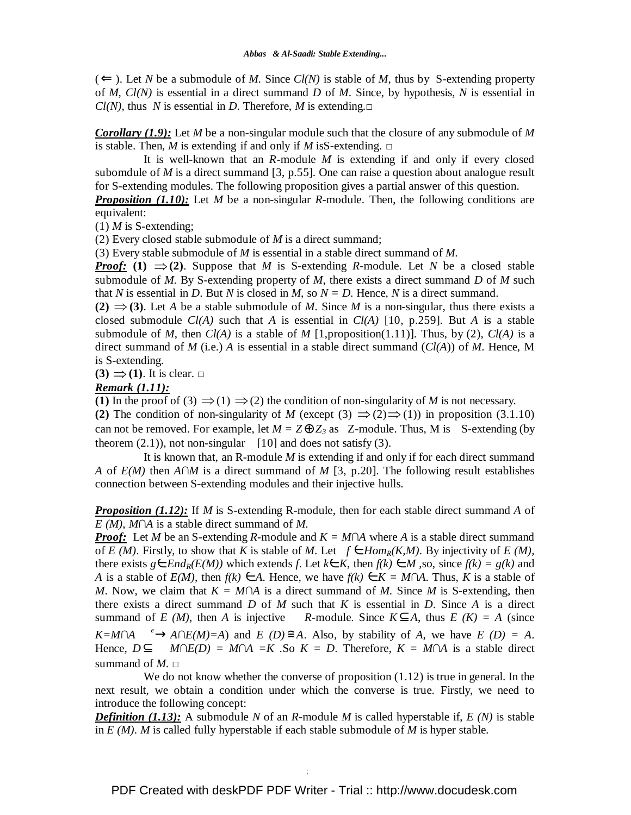$(\Leftarrow)$ . Let *N* be a submodule of *M*. Since *Cl(N)* is stable of *M*, thus by S-extending property of *M*, *Cl(N)* is essential in a direct summand *D* of *M*. Since, by hypothesis, *N* is essential in *Cl(N)*, thus *N* is essential in *D*. Therefore, *M* is extending. $\Box$ 

*Corollary (1.9):* Let *M* be a non-singular module such that the closure of any submodule of *M* is stable. Then, *M* is extending if and only if *M* is S-extending.  $\Box$ 

 It is well-known that an *R*-module *M* is extending if and only if every closed subomdule of *M* is a direct summand [3, p.55]. One can raise a question about analogue result for S-extending modules. The following proposition gives a partial answer of this question.

*Proposition (1.10):* Let *M* be a non-singular *R*-module. Then, the following conditions are equivalent:

(1) *M* is S-extending;

(2) Every closed stable submodule of *M* is a direct summand;

(3) Every stable submodule of *M* is essential in a stable direct summand of *M*.

*Proof:* (1)  $\Rightarrow$  (2). Suppose that *M* is S-extending *R*-module. Let *N* be a closed stable submodule of *M*. By S-extending property of *M*, there exists a direct summand *D* of *M* such that *N* is essential in *D*. But *N* is closed in *M*, so  $N = D$ . Hence, *N* is a direct summand.

(2)  $\Rightarrow$  (3). Let *A* be a stable submodule of *M*. Since *M* is a non-singular, thus there exists a closed submodule *Cl(A)* such that *A* is essential in *Cl(A)* [10, p.259]. But *A* is a stable submodule of *M*, then  $Cl(A)$  is a stable of *M* [1,proposition(1.11)]. Thus, by (2),  $Cl(A)$  is a direct summand of *M* (i.e.) *A* is essential in a stable direct summand (*Cl(A*)) of *M*. Hence, M is S-extending.

 $(3) \implies (1)$ . It is clear.  $\Box$ 

#### *Remark (1.11):*

(1) In the proof of (3)  $\Rightarrow$  (1)  $\Rightarrow$  (2) the condition of non-singularity of *M* is not necessary.

**(2)** The condition of non-singularity of *M* (except (3)  $\Rightarrow$  (2) $\Rightarrow$  (1)) in proposition (3.1.10) can not be removed. For example, let  $M = Z \oplus Z_3$  as Z-module. Thus, M is S-extending (by theorem  $(2.1)$ , not non-singular [10] and does not satisfy (3).

 It is known that, an R-module *M* is extending if and only if for each direct summand *A* of *E(M)* then *A∩M* is a direct summand of *M* [3, p.20]. The following result establishes connection between S-extending modules and their injective hulls.

*Proposition (1.12):* If *M* is S-extending R-module, then for each stable direct summand *A* of *E (M)*, *M*∩*A* is a stable direct summand of *M*.

*Proof:* Let *M* be an S-extending *R*-module and  $K = M \cap A$  where *A* is a stable direct summand of *E (M)*. Firstly, to show that *K* is stable of *M*. Let  $f \in Hom_R(K,M)$ . By injectivity of *E (M)*, there exists  $g \in End_R(E(M))$  which extends *f*. Let  $k \in K$ , then  $f(k) \in M$ , so, since  $f(k) = g(k)$  and *A* is a stable of  $E(M)$ , then  $f(k) \in A$ . Hence, we have  $f(k) \in K = M \cap A$ . Thus, K is a stable of *M*. Now, we claim that  $K = M \cap A$  is a direct summand of *M*. Since *M* is S-extending, then there exists a direct summand *D* of *M* such that *K* is essential in *D*. Since *A* is a direct summand of *E (M)*, then *A* is injective *R*-module. Since  $K \subset A$ , thus  $E(K) = A$  (since  $K=M\cap A \longrightarrow A\cap E(M)=A$ ) and *E (D)*  $\cong A$ . Also, by stability of *A*, we have *E (D)* = *A*. Hence,  $D ⊂ M ∩ E(D) = M ∩ A = K$ . So  $K = D$ . Therefore,  $K = M ∩ A$  is a stable direct summand of  $M$ .  $\Box$ 

We do not know whether the converse of proposition  $(1.12)$  is true in general. In the next result, we obtain a condition under which the converse is true. Firstly, we need to introduce the following concept:

*Definition (1.13):* A submodule *N* of an *R*-module *M* is called hyperstable if, *E (N)* is stable in *E (M)*. *M* is called fully hyperstable if each stable submodule of *M* is hyper stable.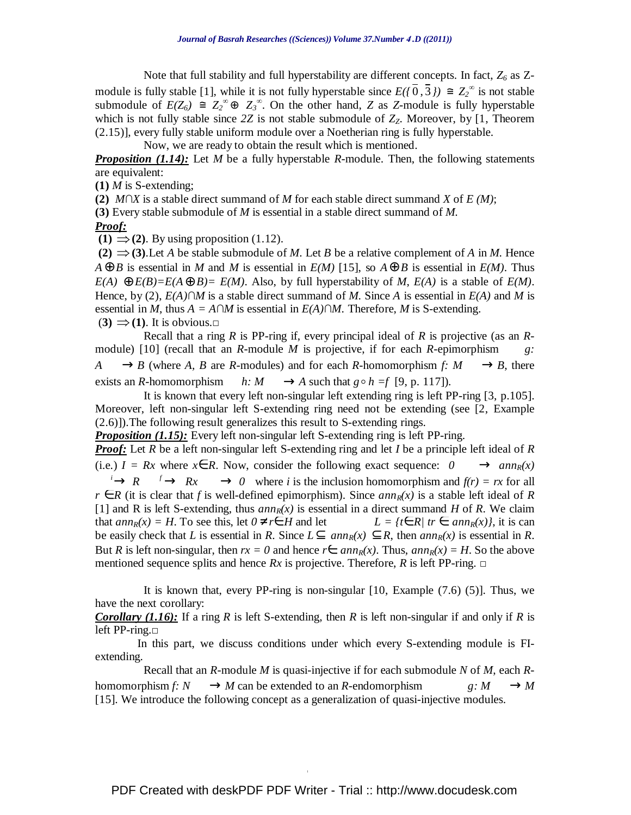Note that full stability and full hyperstability are different concepts. In fact, *Z6* as Zmodule is fully stable [1], while it is not fully hyperstable since  $E(\sqrt{0}, \frac{1}{3}) \cong Z_2^{\infty}$  is not stable submodule of  $E(Z_6) \cong Z_2^{\infty} \oplus Z_3^{\infty}$ . On the other hand, *Z* as *Z*-module is fully hyperstable which is not fully stable since *2Z* is not stable submodule of *ZZ*. Moreover, by [1, Theorem (2.15)], every fully stable uniform module over a Noetherian ring is fully hyperstable.

Now, we are ready to obtain the result which is mentioned.

*Proposition (1.14):* Let *M* be a fully hyperstable *R*-module. Then, the following statements are equivalent:

**(1)** *M* is S-extending;

**(2)** *M*∩*X* is a stable direct summand of *M* for each stable direct summand *X* of *E (M)*;

**(3)** Every stable submodule of *M* is essential in a stable direct summand of *M*.

### *Proof:*

**(1)** ⇒**(2)**. By using proposition (1.12).

**(2)**  $\Rightarrow$  (3). Let *A* be stable submodule of *M*. Let *B* be a relative complement of *A* in *M*. Hence  $A \oplus B$  is essential in *M* and *M* is essential in *E(M)* [15], so  $A \oplus B$  is essential in *E(M)*. Thus  $E(A) \bigoplus E(B) = E(A \bigoplus B) = E(M)$ . Also, by full hyperstability of *M*,  $E(A)$  is a stable of  $E(M)$ . Hence, by (2), *E(A)*∩*M* is a stable direct summand of *M*. Since *A* is essential in *E(A)* and *M* is essential in *M*, thus  $A = A \cap M$  is essential in  $E(A) \cap M$ . Therefore, *M* is S-extending.  $(3) \implies (1)$ . It is obvious. $\Box$ 

 Recall that a ring *R* is PP-ring if, every principal ideal of *R* is projective (as an *R*module) [10] (recall that an *R*-module *M* is projective, if for each *R*-epimorphism *g:*  $A \longrightarrow B$  (where *A*, *B* are *R*-modules) and for each *R*-homomorphism *f:*  $M \longrightarrow B$ , there exists an *R*-homomorphism  $h: M \longrightarrow A$  such that  $g \circ h = f$  [9, p. 117]).

 It is known that every left non-singular left extending ring is left PP-ring [3, p.105]. Moreover, left non-singular left S-extending ring need not be extending (see [2, Example (2.6)]).The following result generalizes this result to S-extending rings.

*Proposition (1.15):* Every left non-singular left S-extending ring is left PP-ring.

*Proof:* Let *R* be a left non-singular left S-extending ring and let *I* be a principle left ideal of *R* (i.e.)  $I = Rx$  where  $x \in R$ . Now, consider the following exact sequence:  $0 \longrightarrow ann_R(x)$  $\longrightarrow R \longrightarrow Rx \longrightarrow 0$  where *i* is the inclusion homomorphism and  $f(r) = rx$  for all *r* ∈ *R* (it is clear that *f* is well-defined epimorphism). Since  $ann_R(x)$  is a stable left ideal of *R* [1] and R is left S-extending, thus  $ann_R(x)$  is essential in a direct summand *H* of *R*. We claim that  $ann_R(x) = H$ . To see this, let  $0 \neq r \in H$  and let  $L = \{t \in R | tr \in ann_R(x)\}\)$ , it is can be easily check that *L* is essential in *R*. Since  $L \subseteq ann_R(x) \subseteq R$ , then  $ann_R(x)$  is essential in *R*. But *R* is left non-singular, then  $rx = 0$  and hence  $r \in ann_R(x)$ . Thus,  $ann_R(x) = H$ . So the above mentioned sequence splits and hence *Rx* is projective. Therefore, *R* is left PP-ring. □

It is known that, every PP-ring is non-singular  $[10, \text{Example (7.6) (5)}]$ . Thus, we have the next corollary:

*Corollary (1.16):* If a ring *R* is left S-extending, then *R* is left non-singular if and only if *R* is left PP-ring.□

 In this part, we discuss conditions under which every S-extending module is FIextending.

 Recall that an *R*-module *M* is quasi-injective if for each submodule *N* of *M*, each *R*homomorphism  $f: N \longrightarrow M$  can be extended to an *R*-endomorphism  $g: M \longrightarrow M$ [15]. We introduce the following concept as a generalization of quasi-injective modules.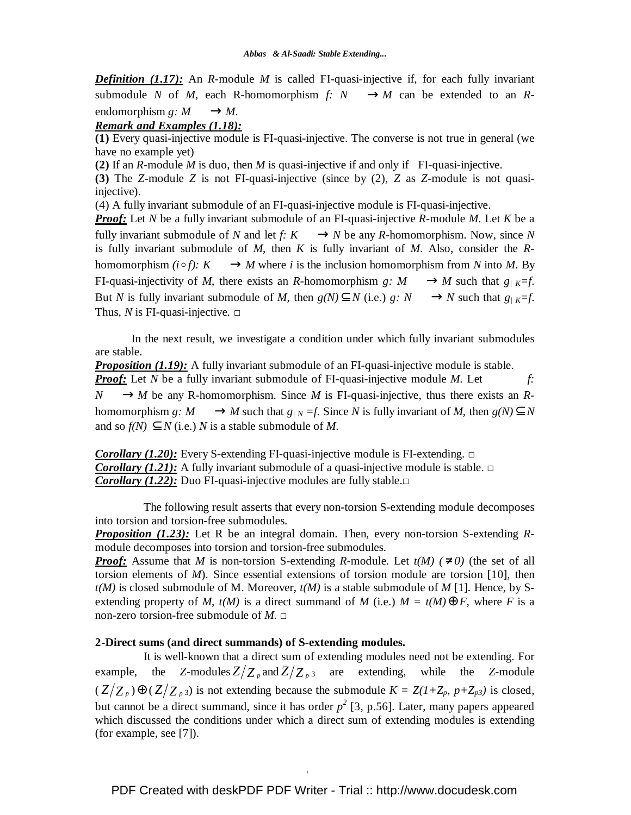*Definition (1.17):* An *R*-module *M* is called FI-quasi-injective if, for each fully invariant submodule *N* of *M*, each R-homomorphism *f: N* —  $\rightarrow$  *M* can be extended to an *R*endomorphism  $g: M \longrightarrow M$ .

### *Remark and Examples (1.18):*

**(1)** Every quasi-injective module is FI-quasi-injective. The converse is not true in general (we have no example yet)

**(2)** If an *R*-module *M* is duo, then *M* is quasi-injective if and only if FI-quasi-injective.

**(3)** The *Z*-module *Z* is not FI-quasi-injective (since by (2), *Z* as *Z*-module is not quasiinjective).

(4) A fully invariant submodule of an FI-quasi-injective module is FI-quasi-injective.

*Proof:* Let *N* be a fully invariant submodule of an FI-quasi-injective *R*-module *M*. Let *K* be a fully invariant submodule of *N* and let *f*:  $K \rightarrow N$  be any *R*-homomorphism. Now, since *N* is fully invariant submodule of *M*, then *K* is fully invariant of *M*. Also, consider the *R*homomorphism  $(i \circ f)$ :  $K \longrightarrow M$  where *i* is the inclusion homomorphism from *N* into *M*. By FI-quasi-injectivity of *M*, there exists an *R*-homomorphism *g:*  $M \rightarrow M$  such that  $g / K = f$ . But *N* is fully invariant submodule of *M*, then  $g(N) \subseteq N$  (i.e.)  $g: N \longrightarrow N$  such that  $g/K = f$ . Thus, *N* is FI-quasi-injective.  $\Box$ 

 In the next result, we investigate a condition under which fully invariant submodules are stable.

*Proposition (1.19):* A fully invariant submodule of an FI-quasi-injective module is stable. *Proof:* Let *N* be a fully invariant submodule of FI-quasi-injective module *M*. Let *f:*   $N \rightarrow M$  be any R-homomorphism. Since *M* is FI-quasi-injective, thus there exists an *R*homomorphism *g*:  $M \longrightarrow M$  such that  $g/N = f$ . Since *N* is fully invariant of *M*, then  $g(N) \subseteq N$ and so  $f(N) \subseteq N$  (i.e.) *N* is a stable submodule of *M*.

*Corollary (1.20):* Every S-extending FI-quasi-injective module is FI-extending. □ *Corollary (1.21):* A fully invariant submodule of a quasi-injective module is stable.  $\Box$ *Corollary (1.22):* Duo FI-quasi-injective modules are fully stable.□

 The following result asserts that every non-torsion S-extending module decomposes into torsion and torsion-free submodules.

*Proposition (1.23):* Let R be an integral domain. Then, every non-torsion S-extending *R*module decomposes into torsion and torsion-free submodules.

*Proof:* Assume that *M* is non-torsion S-extending *R*-module. Let  $t(M)$  ( $\neq 0$ ) (the set of all torsion elements of *M*). Since essential extensions of torsion module are torsion [10], then  $t(M)$  is closed submodule of M. Moreover,  $t(M)$  is a stable submodule of M [1]. Hence, by Sextending property of *M*,  $t(M)$  is a direct summand of *M* (i.e.)  $M = t(M) \bigoplus F$ , where *F* is a non-zero torsion-free submodule of  $M$ .  $\Box$ 

## **2-Direct sums (and direct summands) of S-extending modules.**

 It is well-known that a direct sum of extending modules need not be extending. For example, the *Z*-modules  $Z/Z_p$  and  $Z/Z_p$  are extending, while the *Z*-module  $(Z/Z_p) \oplus (Z/Z_p)$  is not extending because the submodule  $K = Z(I + Z_p, p + Z_p)$  is closed, but cannot be a direct summand, since it has order  $p^2$  [3, p.56]. Later, many papers appeared which discussed the conditions under which a direct sum of extending modules is extending (for example, see [7]).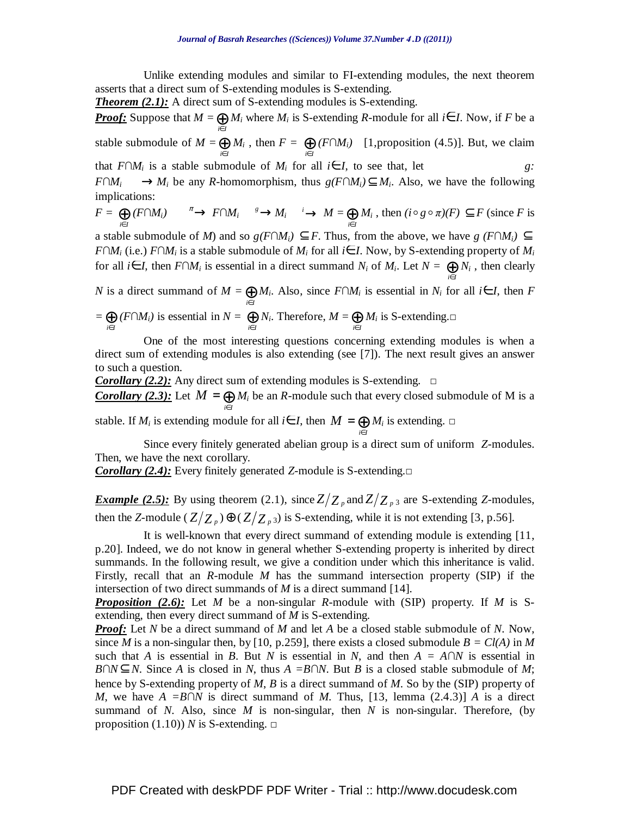Unlike extending modules and similar to FI-extending modules, the next theorem asserts that a direct sum of S-extending modules is S-extending.

**Theorem (2.1):** A direct sum of S-extending modules is S-extending.

*Proof:* Suppose that  $M = \bigoplus_{i \in I} M_i$  where  $M_i$  is S-extending *R*-module for all  $i \in I$ . Now, if *F* be a stable submodule of  $M = \bigoplus_{i \in I} M_i$ , then  $F = \bigoplus_{i \in I} (F \cap M_i)$  [1,proposition (4.5)]. But, we claim

that  $F \cap M_i$  is a stable submodule of  $M_i$  for all  $i \in I$ , to see that, let *g:* 

*F*∩*M*<sub>*i*</sub> → *M*<sub>*i*</sub> be any *R*-homomorphism, thus  $g(F \cap M_i) \subseteq M_i$ . Also, we have the following implications:

$$
F = \bigoplus_{i \in I} (F \cap M_i) \xrightarrow{\pi} F \cap M_i \xrightarrow{\quad s} M_i \xrightarrow{\quad i} M = \bigoplus_{i \in I} M_i \text{, then } (i \circ g \circ \pi)(F) \subseteq F \text{ (since } F \text{ is}
$$

a stable submodule of *M*) and so  $g(F \cap M_i) \subseteq F$ . Thus, from the above, we have  $g(F \cap M_i) \subseteq F$ *F*∩*M*<sub>*i*</sub> (i.e.) *F*∩*M*<sub>*i*</sub> is a stable submodule of *M*<sub>*i*</sub> for all *i*∈ *I*. Now, by S-extending property of *M*<sub>*i*</sub> for all *i*∈*I*, then *F*∩*M*<sup>*i*</sup> is essential in a direct summand *N*<sup>*i*</sup> of *M*<sup>*i*</sup>. Let *N* =  $\bigoplus_{i \in I} N_i$ , then clearly

*N* is a direct summand of  $M = \bigoplus_{i \in I} M_i$ . Also, since  $F \cap M_i$  is essential in  $N_i$  for all  $i \in I$ , then  $F$ 

$$
=\bigoplus_{i\in I}(F\cap M_i)
$$
 is essential in  $N=\bigoplus_{i\in I}N_i$ . Therefore,  $M=\bigoplus_{i\in I}M_i$  is S-extending.

 One of the most interesting questions concerning extending modules is when a direct sum of extending modules is also extending (see [7]). The next result gives an answer to such a question.

*Corollary (2.2):* Any direct sum of extending modules is S-extending. □ *Corollary (2.3):* Let  $M = \bigoplus_{i \in I}$ *i I*  $M = \bigoplus M_i$  be an *R*-module such that every closed submodule of M is a

stable. If  $M_i$  is extending module for all  $i \in I$ , then  $M = \bigoplus_{i \in I} I_i$ *i I*  $M = \bigoplus M_i$  is extending.  $\square$ 

 Since every finitely generated abelian group is a direct sum of uniform *Z*-modules. Then, we have the next corollary.

*Corollary (2.4):* Every finitely generated *Z*-module is S-extending.□

*Example (2.5):* By using theorem (2.1), since  $Z/Z_p$  and  $Z/Z_p$  are S-extending *Z*-modules, then the *Z*-module  $(Z/Z_p) \oplus (Z/Z_{p3})$  is *S*-extending, while it is not extending [3, p.56].

 It is well-known that every direct summand of extending module is extending [11, p.20]. Indeed, we do not know in general whether S-extending property is inherited by direct summands. In the following result, we give a condition under which this inheritance is valid. Firstly, recall that an *R*-module *M* has the summand intersection property (SIP) if the intersection of two direct summands of *M* is a direct summand [14].

*Proposition (2.6):* Let *M* be a non-singular *R*-module with (SIP) property. If *M* is Sextending, then every direct summand of *M* is S-extending.

*Proof:* Let *N* be a direct summand of *M* and let *A* be a closed stable submodule of *N*. Now, since *M* is a non-singular then, by [10, p.259], there exists a closed submodule  $B = Cl(A)$  in *M* such that *A* is essential in *B*. But *N* is essential in *N*, and then  $A = A\cap N$  is essential in *B*∩*N*⊂*N*. Since *A* is closed in *N*, thus *A* = *B*∩*N*. But *B* is a closed stable submodule of *M*; hence by S-extending property of *M*, *B* is a direct summand of *M*. So by the (SIP) property of *M*, we have  $A = B \cap N$  is direct summand of *M*. Thus, [13, lemma (2.4.3)] *A* is a direct summand of *N*. Also, since *M* is non-singular, then *N* is non-singular. Therefore, (by proposition  $(1.10)$ ) *N* is S-extending.  $\Box$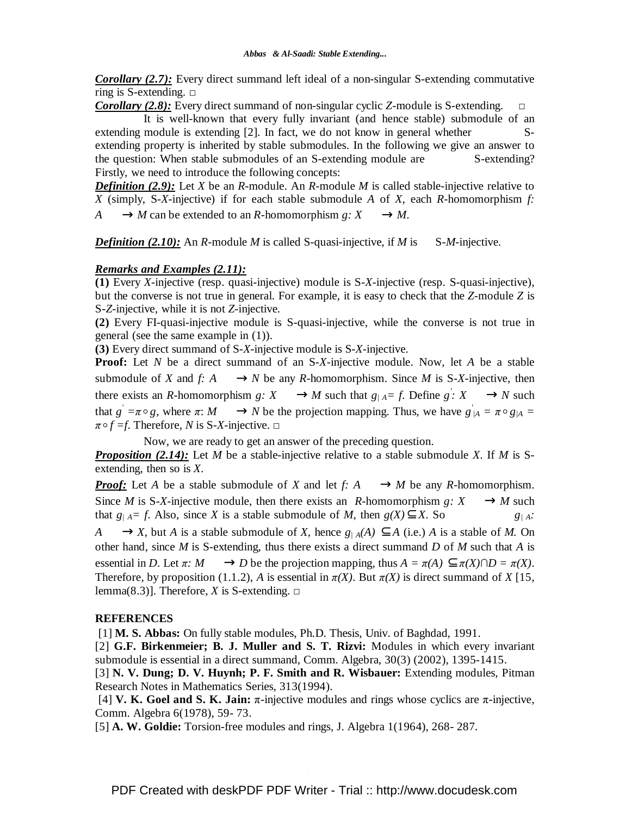**Corollary (2.7):** Every direct summand left ideal of a non-singular S-extending commutative ring is S-extending.  $\Box$ 

*Corollary (2.8):* Every direct summand of non-singular cyclic *Z*-module is S-extending.

 It is well-known that every fully invariant (and hence stable) submodule of an extending module is extending [2]. In fact, we do not know in general whether Sextending property is inherited by stable submodules. In the following we give an answer to the question: When stable submodules of an S-extending module are S-extending? Firstly, we need to introduce the following concepts:

*Definition (2.9):* Let *X* be an *R*-module. An *R*-module *M* is called stable-injective relative to *X* (simply, S-*X*-injective) if for each stable submodule *A* of *X*, each *R*-homomorphism *f:*   $A \longrightarrow M$  can be extended to an *R*-homomorphism *g*:  $X \longrightarrow M$ .

*Definition (2.10):* An *R*-module *M* is called S-quasi-injective, if *M* is S-*M*-injective.

## *Remarks and Examples (2.11):*

**(1)** Every *X*-injective (resp. quasi-injective) module is S-*X*-injective (resp. S-quasi-injective), but the converse is not true in general. For example, it is easy to check that the *Z*-module *Z* is S-*Z*-injective, while it is not *Z*-injective.

**(2)** Every FI-quasi-injective module is S-quasi-injective, while the converse is not true in general (see the same example in (1)).

**(3)** Every direct summand of S-*X*-injective module is S-*X*-injective.

**Proof:** Let *N* be a direct summand of an S-*X*-injective module. Now, let *A* be a stable submodule of *X* and *f*:  $A \longrightarrow N$  be any *R*-homomorphism. Since *M* is S-*X*-injective, then there exists an *R*-homomorphism  $g: X \longrightarrow M$  such that  $g/A = f$ . Define  $g: X \longrightarrow N$  such that  $g' = \pi \circ g$ , where  $\pi: M \longrightarrow N$  be the projection mapping. Thus, we have  $g'_{A} = \pi \circ g_{A} =$  $\pi \circ f = f$ . Therefore, *N* is S-*X*-injective.  $\Box$ 

Now, we are ready to get an answer of the preceding question.

*Proposition (2.14):* Let *M* be a stable-injective relative to a stable submodule *X*. If *M* is Sextending, then so is *X*.

*Proof:* Let *A* be a stable submodule of *X* and let *f: A* —  $\rightarrow$  *M* be any *R*-homomorphism. Since *M* is S-*X*-injective module, then there exists an *R*-homomorphism  $g: X \longrightarrow M$  such that  $g_{/A} = f$ . Also, since *X* is a stable submodule of *M*, then  $g(X) \subseteq X$ . So  $g_{/A}$ : *A*  $\longrightarrow$ *X*, but *A* is a stable submodule of *X*, hence  $g / A(A) \subseteq A$  (i.e.) *A* is a stable of *M*. On other hand, since *M* is S-extending, thus there exists a direct summand *D* of *M* such that *A* is essential in *D*. Let  $\pi$ :  $M \longrightarrow D$  be the projection mapping, thus  $A = \pi(A) \subseteq \pi(X) \cap D = \pi(X)$ . Therefore, by proposition (1.1.2), *A* is essential in  $\pi(X)$ . But  $\pi(X)$  is direct summand of *X* [15, lemma(8.3)]. Therefore, *X* is S-extending.  $\Box$ 

## **REFERENCES**

[1] **M. S. Abbas:** On fully stable modules, Ph.D. Thesis, Univ. of Baghdad, 1991.

[2] **G.F. Birkenmeier; B. J. Muller and S. T. Rizvi:** Modules in which every invariant submodule is essential in a direct summand, Comm. Algebra, 30(3) (2002), 1395-1415.

[3] **N. V. Dung; D. V. Huynh; P. F. Smith and R. Wisbauer:** Extending modules, Pitman Research Notes in Mathematics Series, 313(1994).

[4] **V. K. Goel and S. K. Jain:**  $\pi$ -injective modules and rings whose cyclics are  $\pi$ -injective, Comm. Algebra 6(1978), 59- 73.

[5] **A. W. Goldie:** Torsion-free modules and rings, J. Algebra 1(1964), 268- 287.